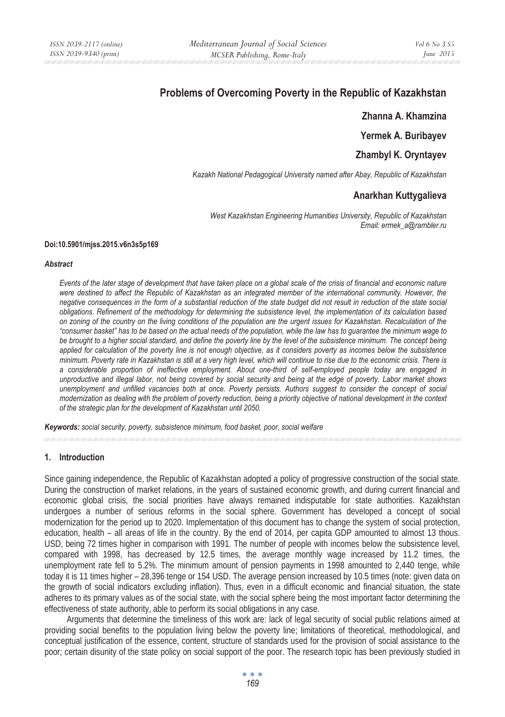# **Problems of Overcoming Poverty in the Republic of Kazakhstan**

**Zhanna A. Khamzina** 

**Yermek A. Buribayev** 

**Zhambyl K. Oryntayev** 

*Kazakh National Pedagogical University named after Abay, Republic of Kazakhstan* 

# **Anarkhan Kuttygalieva**

*West Kazakhstan Engineering Humanities University, Republic of Kazakhstan Email: ermek\_a@rambler.ru* 

#### **Doi:10.5901/mjss.2015.v6n3s5p169**

#### *Abstract*

*Events of the later stage of development that have taken place on a global scale of the crisis of financial and economic nature were destined to affect the Republic of Kazakhstan as an integrated member of the international community. However, the negative consequences in the form of a substantial reduction of the state budget did not result in reduction of the state social obligations. Refinement of the methodology for determining the subsistence level, the implementation of its calculation based on zoning of the country on the living conditions of the population are the urgent issues for Kazakhstan. Recalculation of the "consumer basket" has to be based on the actual needs of the population, while the law has to guarantee the minimum wage to be brought to a higher social standard, and define the poverty line by the level of the subsistence minimum. The concept being applied for calculation of the poverty line is not enough objective, as it considers poverty as incomes below the subsistence minimum. Poverty rate in Kazakhstan is still at a very high level, which will continue to rise due to the economic crisis. There is a considerable proportion of ineffective employment. About one-third of self-employed people today are engaged in unproductive and illegal labor, not being covered by social security and being at the edge of poverty. Labor market shows unemployment and unfilled vacancies both at once. Poverty persists. Authors suggest to consider the concept of social modernization as dealing with the problem of poverty reduction, being a priority objective of national development in the context of the strategic plan for the development of Kazakhstan until 2050.* 

*Keywords: social security, poverty, subsistence minimum, food basket, poor, social welfare*

## **1. Introduction**

Since gaining independence, the Republic of Kazakhstan adopted a policy of progressive construction of the social state. During the construction of market relations, in the years of sustained economic growth, and during current financial and economic global crisis, the social priorities have always remained indisputable for state authorities. Kazakhstan undergoes a number of serious reforms in the social sphere. Government has developed a concept of social modernization for the period up to 2020. Implementation of this document has to change the system of social protection, education, health – all areas of life in the country. By the end of 2014, per capita GDP amounted to almost 13 thous. USD, being 72 times higher in comparison with 1991. The number of people with incomes below the subsistence level, compared with 1998, has decreased by 12.5 times, the average monthly wage increased by 11.2 times, the unemployment rate fell to 5.2%. The minimum amount of pension payments in 1998 amounted to 2,440 tenge, while today it is 11 times higher – 28,396 tenge or 154 USD. The average pension increased by 10.5 times (note: given data on the growth of social indicators excluding inflation). Thus, even in a difficult economic and financial situation, the state adheres to its primary values as of the social state, with the social sphere being the most important factor determining the effectiveness of state authority, able to perform its social obligations in any case.

Arguments that determine the timeliness of this work are: lack of legal security of social public relations aimed at providing social benefits to the population living below the poverty line; limitations of theoretical, methodological, and conceptual justification of the essence, content, structure of standards used for the provision of social assistance to the poor; certain disunity of the state policy on social support of the poor. The research topic has been previously studied in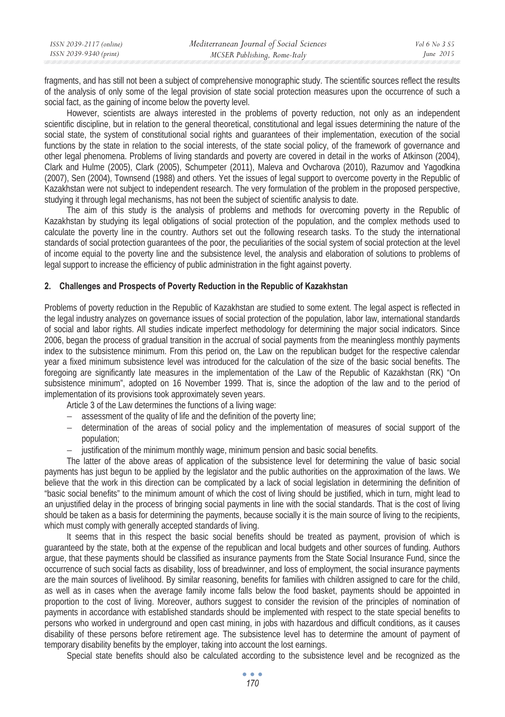| ISSN 2039-2117 (online) | Mediterranean Journal of Social Sciences | <i>Vol</i> 6 No 3 S5 |
|-------------------------|------------------------------------------|----------------------|
| ISSN 2039-9340 (print)  | MCSER Publishing, Rome-Italy             | June $2015$          |
|                         |                                          |                      |

fragments, and has still not been a subject of comprehensive monographic study. The scientific sources reflect the results of the analysis of only some of the legal provision of state social protection measures upon the occurrence of such a social fact, as the gaining of income below the poverty level.

However, scientists are always interested in the problems of poverty reduction, not only as an independent scientific discipline, but in relation to the general theoretical, constitutional and legal issues determining the nature of the social state, the system of constitutional social rights and guarantees of their implementation, execution of the social functions by the state in relation to the social interests, of the state social policy, of the framework of governance and other legal phenomena. Problems of living standards and poverty are covered in detail in the works of Atkinson (2004), Clark and Hulme (2005), Clark (2005), Schumpeter (2011), Maleva and Ovcharova (2010), Razumov and Yagodkina (2007), Sen (2004), Townsend (1988) and others. Yet the issues of legal support to overcome poverty in the Republic of Kazakhstan were not subject to independent research. The very formulation of the problem in the proposed perspective, studying it through legal mechanisms, has not been the subject of scientific analysis to date.

The aim of this study is the analysis of problems and methods for overcoming poverty in the Republic of Kazakhstan by studying its legal obligations of social protection of the population, and the complex methods used to calculate the poverty line in the country. Authors set out the following research tasks. To the study the international standards of social protection guarantees of the poor, the peculiarities of the social system of social protection at the level of income equial to the poverty line and the subsistence level, the analysis and elaboration of solutions to problems of legal support to increase the efficiency of public administration in the fight against poverty.

## **2. Challenges and Prospects of Poverty Reduction in the Republic of Kazakhstan**

Problems of poverty reduction in the Republic of Kazakhstan are studied to some extent. The legal aspect is reflected in the legal industry analyzes on governance issues of social protection of the population, labor law, international standards of social and labor rights. All studies indicate imperfect methodology for determining the major social indicators. Since 2006, began the process of gradual transition in the accrual of social payments from the meaningless monthly payments index to the subsistence minimum. From this period on, the Law on the republican budget for the respective calendar year a fixed minimum subsistence level was introduced for the calculation of the size of the basic social benefits. The foregoing are significantly late measures in the implementation of the Law of the Republic of Kazakhstan (RK) "On subsistence minimum", adopted on 16 November 1999. That is, since the adoption of the law and to the period of implementation of its provisions took approximately seven years.

Article 3 of the Law determines the functions of a living wage:

- − assessment of the quality of life and the definition of the poverty line;
- − determination of the areas of social policy and the implementation of measures of social support of the population;
- − justification of the minimum monthly wage, minimum pension and basic social benefits.

The latter of the above areas of application of the subsistence level for determining the value of basic social payments has just begun to be applied by the legislator and the public authorities on the approximation of the laws. We believe that the work in this direction can be complicated by a lack of social legislation in determining the definition of "basic social benefits" to the minimum amount of which the cost of living should be justified, which in turn, might lead to an unjustified delay in the process of bringing social payments in line with the social standards. That is the cost of living should be taken as a basis for determining the payments, because socially it is the main source of living to the recipients, which must comply with generally accepted standards of living.

It seems that in this respect the basic social benefits should be treated as payment, provision of which is guaranteed by the state, both at the expense of the republican and local budgets and other sources of funding. Authors argue, that these payments should be classified as insurance payments from the State Social Insurance Fund, since the occurrence of such social facts as disability, loss of breadwinner, and loss of employment, the social insurance payments are the main sources of livelihood. By similar reasoning, benefits for families with children assigned to care for the child, as well as in cases when the average family income falls below the food basket, payments should be appointed in proportion to the cost of living. Moreover, authors suggest to consider the revision of the principles of nomination of payments in accordance with established standards should be implemented with respect to the state special benefits to persons who worked in underground and open cast mining, in jobs with hazardous and difficult conditions, as it causes disability of these persons before retirement age. The subsistence level has to determine the amount of payment of temporary disability benefits by the employer, taking into account the lost earnings.

Special state benefits should also be calculated according to the subsistence level and be recognized as the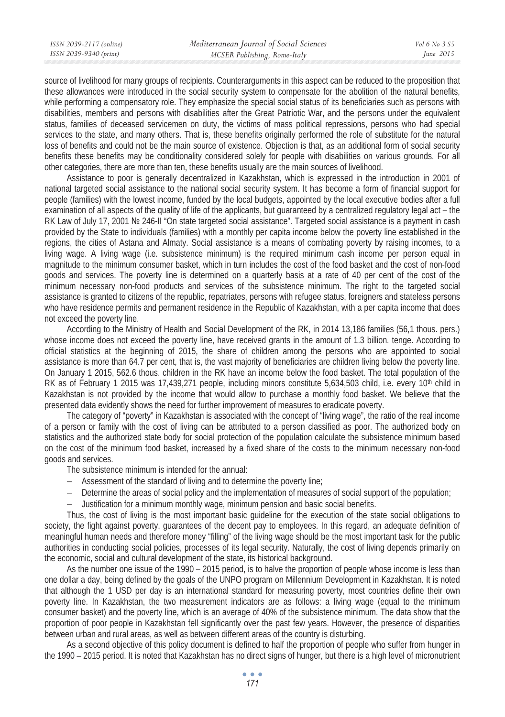| ISSN 2039-2117 (online) | Mediterranean Journal of Social Sciences | Vol 6 No 3 S5 |
|-------------------------|------------------------------------------|---------------|
| ISSN 2039-9340 (print)  | MCSER Publishing, Rome-Italy             | June $2015$   |
|                         |                                          |               |

source of livelihood for many groups of recipients. Counterarguments in this aspect can be reduced to the proposition that these allowances were introduced in the social security system to compensate for the abolition of the natural benefits, while performing a compensatory role. They emphasize the special social status of its beneficiaries such as persons with disabilities, members and persons with disabilities after the Great Patriotic War, and the persons under the equivalent status, families of deceased servicemen on duty, the victims of mass political repressions, persons who had special services to the state, and many others. That is, these benefits originally performed the role of substitute for the natural loss of benefits and could not be the main source of existence. Objection is that, as an additional form of social security benefits these benefits may be conditionality considered solely for people with disabilities on various grounds. For all other categories, there are more than ten, these benefits usually are the main sources of livelihood.

Assistance to poor is generally decentralized in Kazakhstan, which is expressed in the introduction in 2001 of national targeted social assistance to the national social security system. It has become a form of financial support for people (families) with the lowest income, funded by the local budgets, appointed by the local executive bodies after a full examination of all aspects of the quality of life of the applicants, but guaranteed by a centralized regulatory legal act – the RK Law of July 17, 2001 № 246-II "On state targeted social assistance". Targeted social assistance is a payment in cash provided by the State to individuals (families) with a monthly per capita income below the poverty line established in the regions, the cities of Astana and Almaty. Social assistance is a means of combating poverty by raising incomes, to a living wage. A living wage (i.e. subsistence minimum) is the required minimum cash income per person equal in magnitude to the minimum consumer basket, which in turn includes the cost of the food basket and the cost of non-food goods and services. The poverty line is determined on a quarterly basis at a rate of 40 per cent of the cost of the minimum necessary non-food products and services of the subsistence minimum. The right to the targeted social assistance is granted to citizens of the republic, repatriates, persons with refugee status, foreigners and stateless persons who have residence permits and permanent residence in the Republic of Kazakhstan, with a per capita income that does not exceed the poverty line.

According to the Ministry of Health and Social Development of the RK, in 2014 13,186 families (56,1 thous. pers.) whose income does not exceed the poverty line, have received grants in the amount of 1.3 billion. tenge. According to official statistics at the beginning of 2015, the share of children among the persons who are appointed to social assistance is more than 64.7 per cent, that is, the vast majority of beneficiaries are children living below the poverty line. On January 1 2015, 562.6 thous. children in the RK have an income below the food basket. The total population of the RK as of February 1 2015 was 17,439,271 people, including minors constitute  $5.634,503$  child, i.e. every  $10<sup>th</sup>$  child in Kazakhstan is not provided by the income that would allow to purchase a monthly food basket. We believe that the presented data evidently shows the need for further improvement of measures to eradicate poverty.

The category of "poverty" in Kazakhstan is associated with the concept of "living wage", the ratio of the real income of a person or family with the cost of living can be attributed to a person classified as poor. The authorized body on statistics and the authorized state body for social protection of the population calculate the subsistence minimum based on the cost of the minimum food basket, increased by a fixed share of the costs to the minimum necessary non-food goods and services.

The subsistence minimum is intended for the annual:

- − Assessment of the standard of living and to determine the poverty line;
- − Determine the areas of social policy and the implementation of measures of social support of the population;
- − Justification for a minimum monthly wage, minimum pension and basic social benefits.

Thus, the cost of living is the most important basic guideline for the execution of the state social obligations to society, the fight against poverty, guarantees of the decent pay to employees. In this regard, an adequate definition of meaningful human needs and therefore money "filling" of the living wage should be the most important task for the public authorities in conducting social policies, processes of its legal security. Naturally, the cost of living depends primarily on the economic, social and cultural development of the state, its historical background.

As the number one issue of the 1990 – 2015 period, is to halve the proportion of people whose income is less than one dollar a day, being defined by the goals of the UNPO program on Millennium Development in Kazakhstan. It is noted that although the 1 USD per day is an international standard for measuring poverty, most countries define their own poverty line. In Kazakhstan, the two measurement indicators are as follows: a living wage (equal to the minimum consumer basket) and the poverty line, which is an average of 40% of the subsistence minimum. The data show that the proportion of poor people in Kazakhstan fell significantly over the past few years. However, the presence of disparities between urban and rural areas, as well as between different areas of the country is disturbing.

As a second objective of this policy document is defined to half the proportion of people who suffer from hunger in the 1990 – 2015 period. It is noted that Kazakhstan has no direct signs of hunger, but there is a high level of micronutrient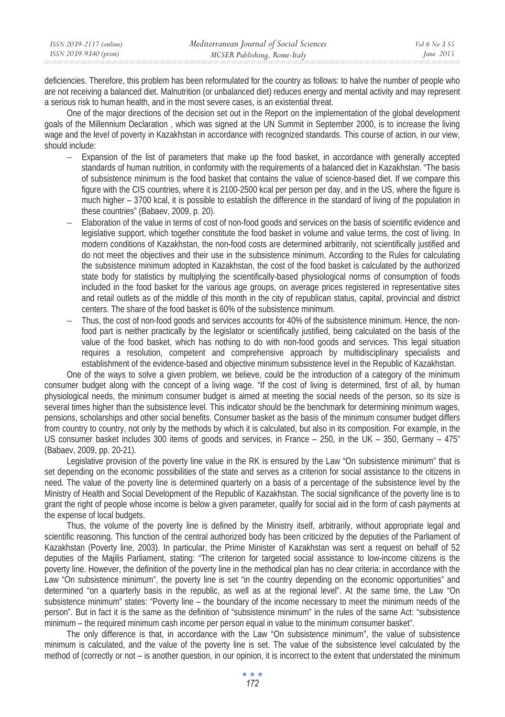| ISSN 2039-2117 (online) | Mediterranean Journal of Social Sciences | Vol 6 No 3 S5 |
|-------------------------|------------------------------------------|---------------|
| ISSN 2039-9340 (print)  | MCSER Publishing, Rome-Italy             | June $2015$   |
|                         |                                          |               |

deficiencies. Therefore, this problem has been reformulated for the country as follows: to halve the number of people who are not receiving a balanced diet. Malnutrition (or unbalanced diet) reduces energy and mental activity and may represent a serious risk to human health, and in the most severe cases, is an existential threat.

One of the major directions of the decision set out in the Report on the implementation of the global development goals of the Millennium Declaration , which was signed at the UN Summit in September 2000, is to increase the living wage and the level of poverty in Kazakhstan in accordance with recognized standards. This course of action, in our view, should include:

- − Expansion of the list of parameters that make up the food basket, in accordance with generally accepted standards of human nutrition, in conformity with the requirements of a balanced diet in Kazakhstan. "The basis of subsistence minimum is the food basket that contains the value of science-based diet. If we compare this figure with the CIS countries, where it is 2100-2500 kcal per person per day, and in the US, where the figure is much higher – 3700 kcal, it is possible to establish the difference in the standard of living of the population in these countries" (Babaev, 2009, p. 20).
- − Elaboration of the value in terms of cost of non-food goods and services on the basis of scientific evidence and legislative support, which together constitute the food basket in volume and value terms, the cost of living. In modern conditions of Kazakhstan, the non-food costs are determined arbitrarily, not scientifically justified and do not meet the objectives and their use in the subsistence minimum. According to the Rules for calculating the subsistence minimum adopted in Kazakhstan, the cost of the food basket is calculated by the authorized state body for statistics by multiplying the scientifically-based physiological norms of consumption of foods included in the food basket for the various age groups, on average prices registered in representative sites and retail outlets as of the middle of this month in the city of republican status, capital, provincial and district centers. The share of the food basket is 60% of the subsistence minimum.
- − Thus, the cost of non-food goods and services accounts for 40% of the subsistence minimum. Hence, the nonfood part is neither practically by the legislator or scientifically justified, being calculated on the basis of the value of the food basket, which has nothing to do with non-food goods and services. This legal situation requires a resolution, competent and comprehensive approach by multidisciplinary specialists and establishment of the evidence-based and objective minimum subsistence level in the Republic of Kazakhstan.

One of the ways to solve a given problem, we believe, could be the introduction of a category of the minimum consumer budget along with the concept of a living wage. "If the cost of living is determined, first of all, by human physiological needs, the minimum consumer budget is aimed at meeting the social needs of the person, so its size is several times higher than the subsistence level. This indicator should be the benchmark for determining minimum wages, pensions, scholarships and other social benefits. Consumer basket as the basis of the minimum consumer budget differs from country to country, not only by the methods by which it is calculated, but also in its composition. For example, in the US consumer basket includes 300 items of goods and services, in France – 250, in the UK – 350, Germany – 475" (Babaev, 2009, pp. 20-21).

Legislative provision of the poverty line value in the RK is ensured by the Law "On subsistence minimum" that is set depending on the economic possibilities of the state and serves as a criterion for social assistance to the citizens in need. The value of the poverty line is determined quarterly on a basis of a percentage of the subsistence level by the Ministry of Health and Social Development of the Republic of Kazakhstan. The social significance of the poverty line is to grant the right of people whose income is below a given parameter, qualify for social aid in the form of cash payments at the expense of local budgets.

Thus, the volume of the poverty line is defined by the Ministry itself, arbitrarily, without appropriate legal and scientific reasoning. This function of the central authorized body has been criticized by the deputies of the Parliament of Kazakhstan (Poverty line, 2003). In particular, the Prime Minister of Kazakhstan was sent a request on behalf of 52 deputies of the Majilis Parliament, stating: "The criterion for targeted social assistance to low-income citizens is the poverty line. However, the definition of the poverty line in the methodical plan has no clear criteria: in accordance with the Law "On subsistence minimum", the poverty line is set "in the country depending on the economic opportunities" and determined "on a quarterly basis in the republic, as well as at the regional level". At the same time, the Law "On subsistence minimum" states: "Poverty line – the boundary of the income necessary to meet the minimum needs of the person". But in fact it is the same as the definition of "subsistence minimum" in the rules of the same Act: "subsistence minimum – the required minimum cash income per person equal in value to the minimum consumer basket".

The only difference is that, in accordance with the Law "On subsistence minimum", the value of subsistence minimum is calculated, and the value of the poverty line is set. The value of the subsistence level calculated by the method of (correctly or not – is another question, in our opinion, it is incorrect to the extent that understated the minimum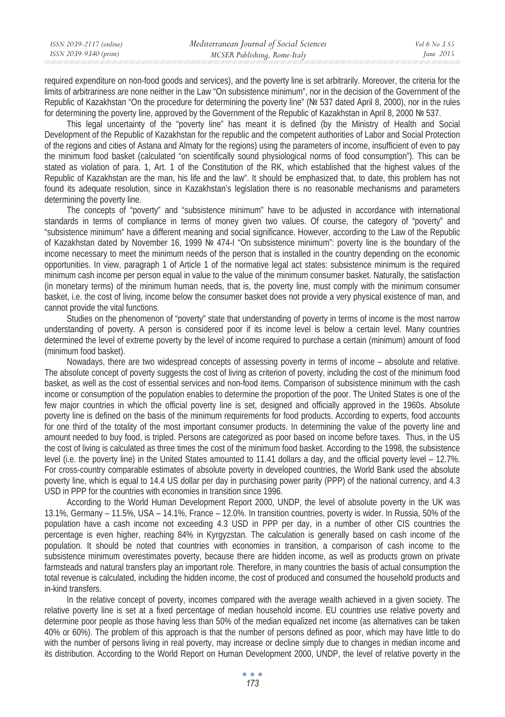| ISSN 2039-2117 (online) | Mediterranean Journal of Social Sciences | Vol 6 No. 3 S5 |
|-------------------------|------------------------------------------|----------------|
| ISSN 2039-9340 (print)  | MCSER Publishing, Rome-Italy             | June $2015$    |
|                         |                                          |                |

required expenditure on non-food goods and services), and the poverty line is set arbitrarily. Moreover, the criteria for the limits of arbitrariness are none neither in the Law "On subsistence minimum", nor in the decision of the Government of the Republic of Kazakhstan "On the procedure for determining the poverty line" ( $Ne$  537 dated April 8, 2000), nor in the rules for determining the poverty line, approved by the Government of the Republic of Kazakhstan in April 8, 2000 No 537.

This legal uncertainty of the "poverty line" has meant it is defined (by the Ministry of Health and Social Development of the Republic of Kazakhstan for the republic and the competent authorities of Labor and Social Protection of the regions and cities of Astana and Almaty for the regions) using the parameters of income, insufficient of even to pay the minimum food basket (calculated "on scientifically sound physiological norms of food consumption"). This can be stated as violation of para. 1, Art. 1 of the Constitution of the RK, which established that the highest values of the Republic of Kazakhstan are the man, his life and the law". It should be emphasized that, to date, this problem has not found its adequate resolution, since in Kazakhstan's legislation there is no reasonable mechanisms and parameters determining the poverty line.

The concepts of "poverty" and "subsistence minimum" have to be adjusted in accordance with international standards in terms of compliance in terms of money given two values. Of course, the category of "poverty" and "subsistence minimum" have a different meaning and social significance. However, according to the Law of the Republic of Kazakhstan dated by November 16, 1999 Nº 474-I "On subsistence minimum": poverty line is the boundary of the income necessary to meet the minimum needs of the person that is installed in the country depending on the economic opportunities. In view, paragraph 1 of Article 1 of the normative legal act states: subsistence minimum is the required minimum cash income per person equal in value to the value of the minimum consumer basket. Naturally, the satisfaction (in monetary terms) of the minimum human needs, that is, the poverty line, must comply with the minimum consumer basket, i.e. the cost of living, income below the consumer basket does not provide a very physical existence of man, and cannot provide the vital functions.

Studies on the phenomenon of "poverty" state that understanding of poverty in terms of income is the most narrow understanding of poverty. A person is considered poor if its income level is below a certain level. Many countries determined the level of extreme poverty by the level of income required to purchase a certain (minimum) amount of food (minimum food basket).

Nowadays, there are two widespread concepts of assessing poverty in terms of income – absolute and relative. The absolute concept of poverty suggests the cost of living as criterion of poverty, including the cost of the minimum food basket, as well as the cost of essential services and non-food items. Comparison of subsistence minimum with the cash income or consumption of the population enables to determine the proportion of the poor. The United States is one of the few major countries in which the official poverty line is set, designed and officially approved in the 1960s. Absolute poverty line is defined on the basis of the minimum requirements for food products. According to experts, food accounts for one third of the totality of the most important consumer products. In determining the value of the poverty line and amount needed to buy food, is tripled. Persons are categorized as poor based on income before taxes. Thus, in the US the cost of living is calculated as three times the cost of the minimum food basket. According to the 1998, the subsistence level (i.e. the poverty line) in the United States amounted to 11.41 dollars a day, and the official poverty level – 12.7%. For cross-country comparable estimates of absolute poverty in developed countries, the World Bank used the absolute poverty line, which is equal to 14.4 US dollar per day in purchasing power parity (PPP) of the national currency, and 4.3 USD in PPP for the countries with economies in transition since 1996.

According to the World Human Development Report 2000, UNDP, the level of absolute poverty in the UK was 13.1%, Germany – 11.5%, USA – 14.1%, France – 12.0%. In transition countries, poverty is wider. In Russia, 50% of the population have a cash income not exceeding 4.3 USD in PPP per day, in a number of other CIS countries the percentage is even higher, reaching 84% in Kyrgyzstan. The calculation is generally based on cash income of the population. It should be noted that countries with economies in transition, a comparison of cash income to the subsistence minimum overestimates poverty, because there are hidden income, as well as products grown on private farmsteads and natural transfers play an important role. Therefore, in many countries the basis of actual consumption the total revenue is calculated, including the hidden income, the cost of produced and consumed the household products and in-kind transfers.

In the relative concept of poverty, incomes compared with the average wealth achieved in a given society. The relative poverty line is set at a fixed percentage of median household income. EU countries use relative poverty and determine poor people as those having less than 50% of the median equalized net income (as alternatives can be taken 40% or 60%). The problem of this approach is that the number of persons defined as poor, which may have little to do with the number of persons living in real poverty, may increase or decline simply due to changes in median income and its distribution. According to the World Report on Human Development 2000, UNDP, the level of relative poverty in the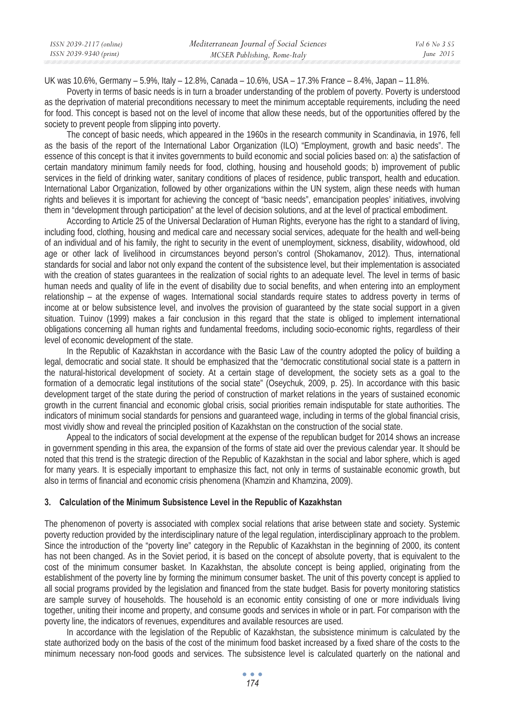UK was 10.6%, Germany – 5.9%, Italy – 12.8%, Canada – 10.6%, USA – 17.3% France – 8.4%, Japan – 11.8%.

Poverty in terms of basic needs is in turn a broader understanding of the problem of poverty. Poverty is understood as the deprivation of material preconditions necessary to meet the minimum acceptable requirements, including the need for food. This concept is based not on the level of income that allow these needs, but of the opportunities offered by the society to prevent people from slipping into poverty.

The concept of basic needs, which appeared in the 1960s in the research community in Scandinavia, in 1976, fell as the basis of the report of the International Labor Organization (ILO) "Employment, growth and basic needs". The essence of this concept is that it invites governments to build economic and social policies based on: a) the satisfaction of certain mandatory minimum family needs for food, clothing, housing and household goods; b) improvement of public services in the field of drinking water, sanitary conditions of places of residence, public transport, health and education. International Labor Organization, followed by other organizations within the UN system, align these needs with human rights and believes it is important for achieving the concept of "basic needs", emancipation peoples' initiatives, involving them in "development through participation" at the level of decision solutions, and at the level of practical embodiment.

According to Article 25 of the Universal Declaration of Human Rights, everyone has the right to a standard of living, including food, clothing, housing and medical care and necessary social services, adequate for the health and well-being of an individual and of his family, the right to security in the event of unemployment, sickness, disability, widowhood, old age or other lack of livelihood in circumstances beyond person's control (Shokamanov, 2012). Thus, international standards for social and labor not only expand the content of the subsistence level, but their implementation is associated with the creation of states quarantees in the realization of social rights to an adequate level. The level in terms of basic human needs and quality of life in the event of disability due to social benefits, and when entering into an employment relationship – at the expense of wages. International social standards require states to address poverty in terms of income at or below subsistence level, and involves the provision of guaranteed by the state social support in a given situation. Tuinov (1999) makes a fair conclusion in this regard that the state is obliged to implement international obligations concerning all human rights and fundamental freedoms, including socio-economic rights, regardless of their level of economic development of the state.

In the Republic of Kazakhstan in accordance with the Basic Law of the country adopted the policy of building a legal, democratic and social state. It should be emphasized that the "democratic constitutional social state is a pattern in the natural-historical development of society. At a certain stage of development, the society sets as a goal to the formation of a democratic legal institutions of the social state" (Oseychuk, 2009, p. 25). In accordance with this basic development target of the state during the period of construction of market relations in the years of sustained economic growth in the current financial and economic global crisis, social priorities remain indisputable for state authorities. The indicators of minimum social standards for pensions and guaranteed wage, including in terms of the global financial crisis, most vividly show and reveal the principled position of Kazakhstan on the construction of the social state.

Appeal to the indicators of social development at the expense of the republican budget for 2014 shows an increase in government spending in this area, the expansion of the forms of state aid over the previous calendar year. It should be noted that this trend is the strategic direction of the Republic of Kazakhstan in the social and labor sphere, which is aged for many years. It is especially important to emphasize this fact, not only in terms of sustainable economic growth, but also in terms of financial and economic crisis phenomena (Khamzin and Khamzina, 2009).

## **3. Calculation of the Minimum Subsistence Level in the Republic of Kazakhstan**

The phenomenon of poverty is associated with complex social relations that arise between state and society. Systemic poverty reduction provided by the interdisciplinary nature of the legal regulation, interdisciplinary approach to the problem. Since the introduction of the "poverty line" category in the Republic of Kazakhstan in the beginning of 2000, its content has not been changed. As in the Soviet period, it is based on the concept of absolute poverty, that is equivalent to the cost of the minimum consumer basket. In Kazakhstan, the absolute concept is being applied, originating from the establishment of the poverty line by forming the minimum consumer basket. The unit of this poverty concept is applied to all social programs provided by the legislation and financed from the state budget. Basis for poverty monitoring statistics are sample survey of households. The household is an economic entity consisting of one or more individuals living together, uniting their income and property, and consume goods and services in whole or in part. For comparison with the poverty line, the indicators of revenues, expenditures and available resources are used.

In accordance with the legislation of the Republic of Kazakhstan, the subsistence minimum is calculated by the state authorized body on the basis of the cost of the minimum food basket increased by a fixed share of the costs to the minimum necessary non-food goods and services. The subsistence level is calculated quarterly on the national and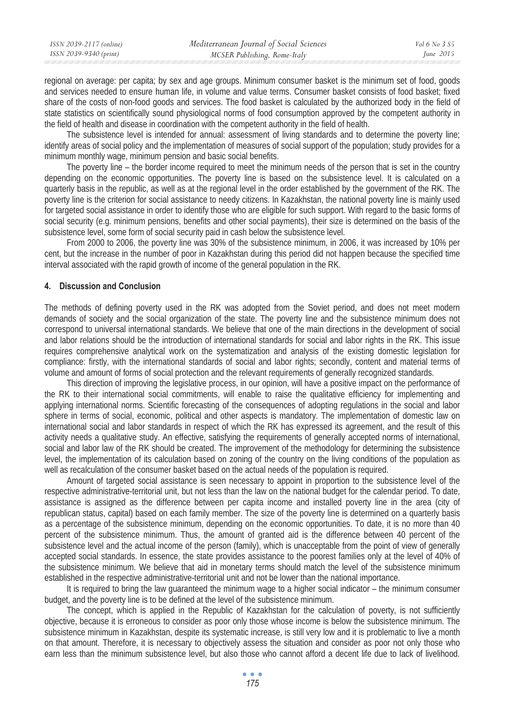| ISSN 2039-2117 (online) | Mediterranean Journal of Social Sciences | Vol 6 No. 3 S5 |
|-------------------------|------------------------------------------|----------------|
| ISSN 2039-9340 (print)  | MCSER Publishing, Rome-Italy             | June $2015$    |
|                         |                                          |                |

regional on average: per capita; by sex and age groups. Minimum consumer basket is the minimum set of food, goods and services needed to ensure human life, in volume and value terms. Consumer basket consists of food basket; fixed share of the costs of non-food goods and services. The food basket is calculated by the authorized body in the field of state statistics on scientifically sound physiological norms of food consumption approved by the competent authority in the field of health and disease in coordination with the competent authority in the field of health.

The subsistence level is intended for annual: assessment of living standards and to determine the poverty line; identify areas of social policy and the implementation of measures of social support of the population; study provides for a minimum monthly wage, minimum pension and basic social benefits.

The poverty line – the border income required to meet the minimum needs of the person that is set in the country depending on the economic opportunities. The poverty line is based on the subsistence level. It is calculated on a quarterly basis in the republic, as well as at the regional level in the order established by the government of the RK. The poverty line is the criterion for social assistance to needy citizens. In Kazakhstan, the national poverty line is mainly used for targeted social assistance in order to identify those who are eligible for such support. With regard to the basic forms of social security (e.g. minimum pensions, benefits and other social payments), their size is determined on the basis of the subsistence level, some form of social security paid in cash below the subsistence level.

From 2000 to 2006, the poverty line was 30% of the subsistence minimum, in 2006, it was increased by 10% per cent, but the increase in the number of poor in Kazakhstan during this period did not happen because the specified time interval associated with the rapid growth of income of the general population in the RK.

## **4. Discussion and Conclusion**

The methods of defining poverty used in the RK was adopted from the Soviet period, and does not meet modern demands of society and the social organization of the state. The poverty line and the subsistence minimum does not correspond to universal international standards. We believe that one of the main directions in the development of social and labor relations should be the introduction of international standards for social and labor rights in the RK. This issue requires comprehensive analytical work on the systematization and analysis of the existing domestic legislation for compliance: firstly, with the international standards of social and labor rights; secondly, content and material terms of volume and amount of forms of social protection and the relevant requirements of generally recognized standards.

This direction of improving the legislative process, in our opinion, will have a positive impact on the performance of the RK to their international social commitments, will enable to raise the qualitative efficiency for implementing and applying international norms. Scientific forecasting of the consequences of adopting regulations in the social and labor sphere in terms of social, economic, political and other aspects is mandatory. The implementation of domestic law on international social and labor standards in respect of which the RK has expressed its agreement, and the result of this activity needs a qualitative study. An effective, satisfying the requirements of generally accepted norms of international, social and labor law of the RK should be created. The improvement of the methodology for determining the subsistence level, the implementation of its calculation based on zoning of the country on the living conditions of the population as well as recalculation of the consumer basket based on the actual needs of the population is required.

Amount of targeted social assistance is seen necessary to appoint in proportion to the subsistence level of the respective administrative-territorial unit, but not less than the law on the national budget for the calendar period. To date, assistance is assigned as the difference between per capita income and installed poverty line in the area (city of republican status, capital) based on each family member. The size of the poverty line is determined on a quarterly basis as a percentage of the subsistence minimum, depending on the economic opportunities. To date, it is no more than 40 percent of the subsistence minimum. Thus, the amount of granted aid is the difference between 40 percent of the subsistence level and the actual income of the person (family), which is unacceptable from the point of view of generally accepted social standards. In essence, the state provides assistance to the poorest families only at the level of 40% of the subsistence minimum. We believe that aid in monetary terms should match the level of the subsistence minimum established in the respective administrative-territorial unit and not be lower than the national importance.

It is required to bring the law guaranteed the minimum wage to a higher social indicator – the minimum consumer budget, and the poverty line is to be defined at the level of the subsistence minimum.

The concept, which is applied in the Republic of Kazakhstan for the calculation of poverty, is not sufficiently objective, because it is erroneous to consider as poor only those whose income is below the subsistence minimum. The subsistence minimum in Kazakhstan, despite its systematic increase, is still very low and it is problematic to live a month on that amount. Therefore, it is necessary to objectively assess the situation and consider as poor not only those who earn less than the minimum subsistence level, but also those who cannot afford a decent life due to lack of livelihood.